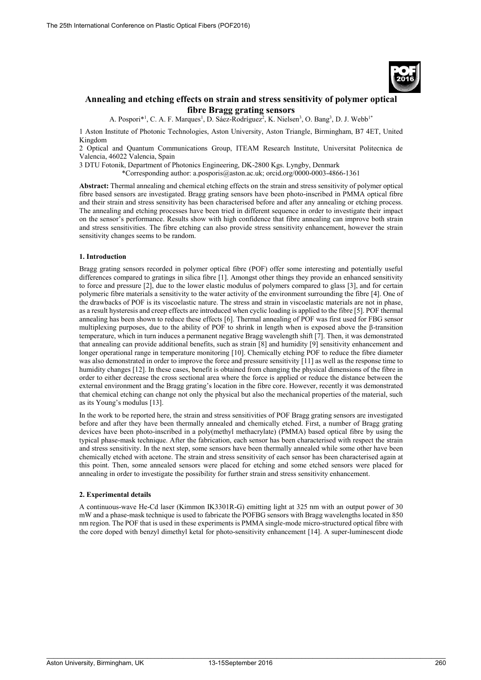

# **Annealing and etching effects on strain and stress sensitivity of polymer optical fibre Bragg grating sensors**

A. Pospori<sup>\*1</sup>, C. A. F. Marques<sup>1</sup>, D. Sáez-Rodríguez<sup>2</sup>, K. Nielsen<sup>3</sup>, O. Bang<sup>3</sup>, D. J. Webb<sup>1\*</sup>

1 Aston Institute of Photonic Technologies, Aston University, Aston Triangle, Birmingham, B7 4ET, United Kingdom

2 Optical and Quantum Communications Group, ITEAM Research Institute, Universitat Politecnica de Valencia, 46022 Valencia, Spain

3 DTU Fotonik, Department of Photonics Engineering, DK-2800 Kgs. Lyngby, Denmark

\*Corresponding author: a.posporis@aston.ac.uk; orcid.org/0000-0003-4866-1361

**Abstract:** Thermal annealing and chemical etching effects on the strain and stress sensitivity of polymer optical fibre based sensors are investigated. Bragg grating sensors have been photo-inscribed in PMMA optical fibre and their strain and stress sensitivity has been characterised before and after any annealing or etching process. The annealing and etching processes have been tried in different sequence in order to investigate their impact on the sensor's performance. Results show with high confidence that fibre annealing can improve both strain and stress sensitivities. The fibre etching can also provide stress sensitivity enhancement, however the strain sensitivity changes seems to be random.

## **1. Introduction**

Bragg grating sensors recorded in polymer optical fibre (POF) offer some interesting and potentially useful differences compared to gratings in silica fibre [1]. Amongst other things they provide an enhanced sensitivity to force and pressure [2], due to the lower elastic modulus of polymers compared to glass [3], and for certain polymeric fibre materials a sensitivity to the water activity of the environment surrounding the fibre [4]. One of the drawbacks of POF is its viscoelastic nature. The stress and strain in viscoelastic materials are not in phase, as a result hysteresis and creep effects are introduced when cyclic loading is applied to the fibre [5]. POF thermal annealing has been shown to reduce these effects [6]. Thermal annealing of POF was first used for FBG sensor multiplexing purposes, due to the ability of POF to shrink in length when is exposed above the β-transition temperature, which in turn induces a permanent negative Bragg wavelength shift [7]. Then, it was demonstrated that annealing can provide additional benefits, such as strain [8] and humidity [9] sensitivity enhancement and longer operational range in temperature monitoring [10]. Chemically etching POF to reduce the fibre diameter was also demonstrated in order to improve the force and pressure sensitivity [11] as well as the response time to humidity changes [12]. In these cases, benefit is obtained from changing the physical dimensions of the fibre in order to either decrease the cross sectional area where the force is applied or reduce the distance between the external environment and the Bragg grating's location in the fibre core. However, recently it was demonstrated that chemical etching can change not only the physical but also the mechanical properties of the material, such as its Young's modulus [13].

In the work to be reported here, the strain and stress sensitivities of POF Bragg grating sensors are investigated before and after they have been thermally annealed and chemically etched. First, a number of Bragg grating devices have been photo-inscribed in a poly(methyl methacrylate) (PMMA) based optical fibre by using the typical phase-mask technique. After the fabrication, each sensor has been characterised with respect the strain and stress sensitivity. In the next step, some sensors have been thermally annealed while some other have been chemically etched with acetone. The strain and stress sensitivity of each sensor has been characterised again at this point. Then, some annealed sensors were placed for etching and some etched sensors were placed for annealing in order to investigate the possibility for further strain and stress sensitivity enhancement.

## **2. Experimental details**

A continuous-wave He-Cd laser (Kimmon IK3301R-G) emitting light at 325 nm with an output power of 30 mW and a phase-mask technique is used to fabricate the POFBG sensors with Bragg wavelengths located in 850 nm region. The POF that is used in these experiments is PMMA single-mode micro-structured optical fibre with the core doped with benzyl dimethyl ketal for photo-sensitivity enhancement [14]. A super-luminescent diode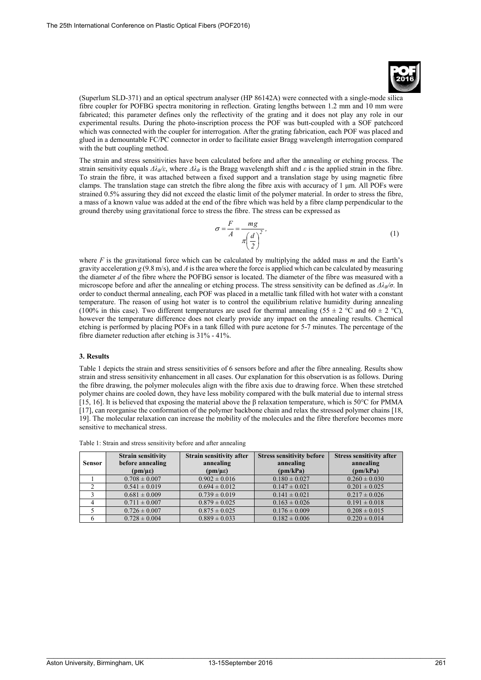

(Superlum SLD-371) and an optical spectrum analyser (HP 86142A) were connected with a single-mode silica fibre coupler for POFBG spectra monitoring in reflection. Grating lengths between 1.2 mm and 10 mm were fabricated; this parameter defines only the reflectivity of the grating and it does not play any role in our experimental results. During the photo-inscription process the POF was butt-coupled with a SOF patchcord which was connected with the coupler for interrogation. After the grating fabrication, each POF was placed and glued in a demountable FC/PC connector in order to facilitate easier Bragg wavelength interrogation compared with the butt coupling method.

The strain and stress sensitivities have been calculated before and after the annealing or etching process. The strain sensitivity equals  $\Delta\lambda_B/\varepsilon$ , where  $\Delta\lambda_B$  is the Bragg wavelength shift and  $\varepsilon$  is the applied strain in the fibre. To strain the fibre, it was attached between a fixed support and a translation stage by using magnetic fibre clamps. The translation stage can stretch the fibre along the fibre axis with accuracy of 1 μm. All POFs were strained 0.5% assuring they did not exceed the elastic limit of the polymer material. In order to stress the fibre, a mass of a known value was added at the end of the fibre which was held by a fibre clamp perpendicular to the ground thereby using gravitational force to stress the fibre. The stress can be expressed as

$$
\sigma = \frac{F}{A} = \frac{mg}{\pi \left(\frac{d}{2}\right)^2},\tag{1}
$$

where *F* is the gravitational force which can be calculated by multiplying the added mass *m* and the Earth's gravity acceleration *g* (9.8 m/s), and *A* is the area where the force is applied which can be calculated by measuring the diameter *d* of the fibre where the POFBG sensor is located. The diameter of the fibre was measured with a microscope before and after the annealing or etching process. The stress sensitivity can be defined as *ΔλB/σ*. In order to conduct thermal annealing, each POF was placed in a metallic tank filled with hot water with a constant temperature. The reason of using hot water is to control the equilibrium relative humidity during annealing (100% in this case). Two different temperatures are used for thermal annealing (55  $\pm$  2 °C and 60  $\pm$  2 °C), however the temperature difference does not clearly provide any impact on the annealing results. Chemical etching is performed by placing POFs in a tank filled with pure acetone for 5-7 minutes. The percentage of the fibre diameter reduction after etching is 31% - 41%.

## **3. Results**

Table 1 depicts the strain and stress sensitivities of 6 sensors before and after the fibre annealing. Results show strain and stress sensitivity enhancement in all cases. Our explanation for this observation is as follows. During the fibre drawing, the polymer molecules align with the fibre axis due to drawing force. When these stretched polymer chains are cooled down, they have less mobility compared with the bulk material due to internal stress [15, 16]. It is believed that exposing the material above the β relaxation temperature, which is 50°C for PMMA [17], can reorganise the conformation of the polymer backbone chain and relax the stressed polymer chains [18, 19]. The molecular relaxation can increase the mobility of the molecules and the fibre therefore becomes more sensitive to mechanical stress.

| <b>Sensor</b> | <b>Strain sensitivity</b><br>before annealing<br>$(pm/\mu\epsilon)$ | Strain sensitivity after<br>annealing<br>$(pm/\mu\epsilon)$ | <b>Stress sensitivity before</b><br>annealing<br>(pm/kPa) | <b>Stress sensitivity after</b><br>annealing<br>(pm/kPa) |
|---------------|---------------------------------------------------------------------|-------------------------------------------------------------|-----------------------------------------------------------|----------------------------------------------------------|
|               | $0.708 \pm 0.007$                                                   | $0.902 \pm 0.016$                                           | $0.180 \pm 0.027$                                         | $0.260 \pm 0.030$                                        |
|               | $0.541 \pm 0.019$                                                   | $0.694 \pm 0.012$                                           | $0.147 \pm 0.021$                                         | $0.201 \pm 0.025$                                        |
|               | $0.681 \pm 0.009$                                                   | $0.739 \pm 0.019$                                           | $0.141 \pm 0.021$                                         | $0.217 \pm 0.026$                                        |
|               | $0.711 \pm 0.007$                                                   | $0.879 \pm 0.025$                                           | $0.163 \pm 0.026$                                         | $0.191 \pm 0.018$                                        |
|               | $0.726 \pm 0.007$                                                   | $0.875 \pm 0.025$                                           | $0.176 \pm 0.009$                                         | $0.208 \pm 0.015$                                        |
|               | $0.728 \pm 0.004$                                                   | $0.889 \pm 0.033$                                           | $0.182 \pm 0.006$                                         | $0.220 \pm 0.014$                                        |

|  | Table 1: Strain and stress sensitivity before and after annealing |  |  |
|--|-------------------------------------------------------------------|--|--|
|  |                                                                   |  |  |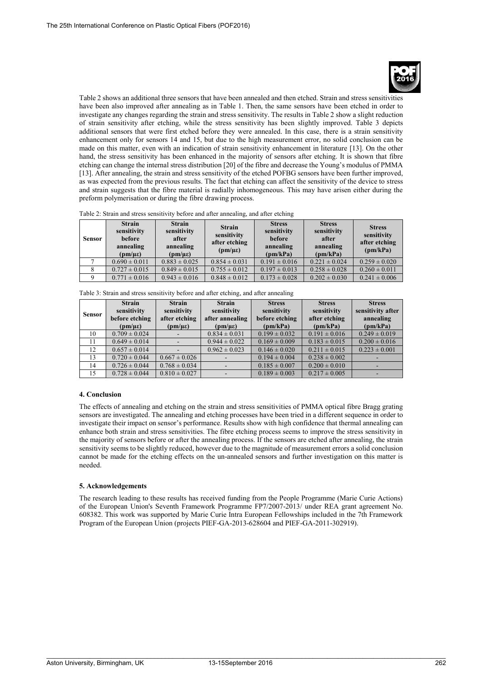Table 2 shows an additional three sensors that have been annealed and then etched. Strain and stress sensitivities have been also improved after annealing as in Table 1. Then, the same sensors have been etched in order to investigate any changes regarding the strain and stress sensitivity. The results in Table 2 show a slight reduction of strain sensitivity after etching, while the stress sensitivity has been slightly improved. Table 3 depicts additional sensors that were first etched before they were annealed. In this case, there is a strain sensitivity enhancement only for sensors 14 and 15, but due to the high measurement error, no solid conclusion can be made on this matter, even with an indication of strain sensitivity enhancement in literature [13]. On the other hand, the stress sensitivity has been enhanced in the majority of sensors after etching. It is shown that fibre etching can change the internal stress distribution [20] of the fibre and decrease the Young's modulus of PMMA [13]. After annealing, the strain and stress sensitivity of the etched POFBG sensors have been further improved, as was expected from the previous results. The fact that etching can affect the sensitivity of the device to stress and strain suggests that the fibre material is radially inhomogeneous. This may have arisen either during the preform polymerisation or during the fibre drawing process.

Table 2: Strain and stress sensitivity before and after annealing, and after etching

| <b>Sensor</b> | <b>Strain</b><br>sensitivity<br>before<br>annealing<br>$(pm/\mu\epsilon)$ | <b>Strain</b><br>sensitivity<br>after<br>annealing<br>$(pm/\mu\epsilon)$ | <b>Strain</b><br>sensitivity<br>after etching<br>$(pm/\mu\epsilon)$ | <b>Stress</b><br>sensitivity<br>before<br>annealing<br>(pm/kPa) | <b>Stress</b><br>sensitivity<br>after<br>annealing<br>(pm/kPa) | <b>Stress</b><br>sensitivity<br>after etching<br>(pm/kPa) |
|---------------|---------------------------------------------------------------------------|--------------------------------------------------------------------------|---------------------------------------------------------------------|-----------------------------------------------------------------|----------------------------------------------------------------|-----------------------------------------------------------|
|               | $0.690 \pm 0.011$                                                         | $0.883 \pm 0.025$                                                        | $0.854 \pm 0.031$                                                   | $0.191 \pm 0.016$                                               | $0.221 \pm 0.024$                                              | $0.259 \pm 0.020$                                         |
|               | $0.727 \pm 0.015$                                                         | $0.849 \pm 0.015$                                                        | $0.755 \pm 0.012$                                                   | $0.197 \pm 0.013$                                               | $0.258 \pm 0.028$                                              | $0.260 \pm 0.011$                                         |
|               | $0.771 \pm 0.016$                                                         | $0.943 \pm 0.016$                                                        | $0.848 \pm 0.012$                                                   | $0.173 \pm 0.028$                                               | $0.202 \pm 0.030$                                              | $0.241 \pm 0.006$                                         |

Table 3: Strain and stress sensitivity before and after etching, and after annealing

| Sensor | <b>Strain</b><br>sensitivity<br>before etching<br>$(pm/\mu\epsilon)$ | <b>Strain</b><br>sensitivity<br>after etching<br>$(pm/\mu\epsilon)$ | <b>Strain</b><br>sensitivity<br>after annealing<br>$(pm/\mu\epsilon)$ | <b>Stress</b><br>sensitivity<br>before etching<br>(pm/kPa) | <b>Stress</b><br>sensitivity<br>after etching<br>(pm/kPa) | <b>Stress</b><br>sensitivity after<br>annealing<br>(pm/kPa) |
|--------|----------------------------------------------------------------------|---------------------------------------------------------------------|-----------------------------------------------------------------------|------------------------------------------------------------|-----------------------------------------------------------|-------------------------------------------------------------|
| 10     | $0.709 \pm 0.024$                                                    |                                                                     | $0.834 \pm 0.031$                                                     | $0.199 \pm 0.032$                                          | $0.191 \pm 0.016$                                         | $0.249 \pm 0.019$                                           |
| 11     | $0.649 \pm 0.014$                                                    |                                                                     | $0.944 \pm 0.022$                                                     | $0.169 \pm 0.009$                                          | $0.183 \pm 0.015$                                         | $0.200 \pm 0.016$                                           |
| 12     | $0.657 \pm 0.014$                                                    |                                                                     | $0.962 \pm 0.023$                                                     | $0.146 \pm 0.020$                                          | $0.211 \pm 0.015$                                         | $0.223 \pm 0.001$                                           |
| 13     | $0.720 \pm 0.044$                                                    | $0.667 \pm 0.026$                                                   |                                                                       | $0.194 \pm 0.004$                                          | $0.238 \pm 0.002$                                         |                                                             |
| 14     | $0.726 \pm 0.044$                                                    | $0.768 \pm 0.034$                                                   |                                                                       | $0.185 \pm 0.007$                                          | $0.200 \pm 0.010$                                         |                                                             |
| 15     | $0.728 \pm 0.044$                                                    | $0.810 \pm 0.027$                                                   |                                                                       | $0.189 \pm 0.003$                                          | $0.217 \pm 0.005$                                         |                                                             |

## **4. Conclusion**

The effects of annealing and etching on the strain and stress sensitivities of PMMA optical fibre Bragg grating sensors are investigated. The annealing and etching processes have been tried in a different sequence in order to investigate their impact on sensor's performance. Results show with high confidence that thermal annealing can enhance both strain and stress sensitivities. The fibre etching process seems to improve the stress sensitivity in the majority of sensors before or after the annealing process. If the sensors are etched after annealing, the strain sensitivity seems to be slightly reduced, however due to the magnitude of measurement errors a solid conclusion cannot be made for the etching effects on the un-annealed sensors and further investigation on this matter is needed.

## **5. Acknowledgements**

The research leading to these results has received funding from the People Programme (Marie Curie Actions) of the European Union's Seventh Framework Programme FP7/2007-2013/ under REA grant agreement No. 608382. This work was supported by Marie Curie Intra European Fellowships included in the 7th Framework Program of the European Union (projects PIEF-GA-2013-628604 and PIEF-GA-2011-302919).